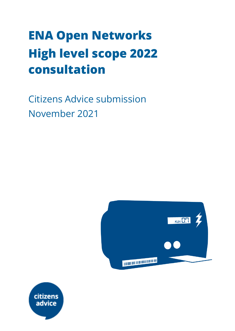# **ENA Open Networks High level scope 2022 consultation**

Citizens Advice submission November 2021



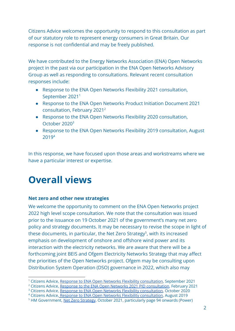Citizens Advice welcomes the opportunity to respond to this consultation as part of our statutory role to represent energy consumers in Great Britain. Our response is not confidential and may be freely published.

We have contributed to the Energy Networks Association (ENA) Open Networks project in the past via our participation in the ENA Open Networks Advisory Group as well as responding to consultations. Relevant recent consultation responses include:

- Response to the ENA Open Networks Flexibility 2021 consultation, September 2021<sup>1</sup>
- Response to the ENA Open Networks Product Initiation Document 2021 consultation, February 2021<sup>2</sup>
- Response to the ENA Open Networks Flexibility 2020 consultation, October 2020<sup>3</sup>
- Response to the ENA Open Networks Flexibility 2019 consultation, August 2019<sup>4</sup>

In this response, we have focused upon those areas and workstreams where we have a particular interest or expertise.

# **Overall views**

# **Net zero and other new strategies**

We welcome the opportunity to comment on the ENA Open Networks project 2022 high level scope consultation. We note that the consultation was issued prior to the issuance on 19 October 2021 of the government's many net zero policy and strategy documents. It may be necessary to revise the scope in light of these documents, in particular, the Net Zero Strategy<sup>5</sup>, with its increased emphasis on development of onshore and offshore wind power and its interaction with the electricity networks. We are aware that there will be a forthcoming joint BEIS and Ofgem Electricity Networks Strategy that may affect the priorities of the Open Networks project. Ofgem may be consulting upon Distribution System Operation (DSO) governance in 2022, which also may

<sup>4</sup> Citizens Advice, Response to ENA Open Networks Flexibility [consultation](https://www.citizensadvice.org.uk/Global/CitizensAdvice/Energy/Energy%20Consultation%20responses/ENA%20Open%20Networks%20Project%20-%20Flexibility%20Consultation%202019%20-%20CA%20response%20%20(1).pdf), August 2019

<sup>&</sup>lt;sup>1</sup> Citizens Advice, Response to ENA Open Networks Flexibility [consultation](https://www.citizensadvice.org.uk/about-us/our-work/policy/policy-research-topics/energy-policy-research-and-consultation-responses/energy-consultation-responses/citizens-advice-response-to-ena-flexibility-consultation-2021/), September 2021

<sup>&</sup>lt;sup>2</sup> Citizens Advice, Response to the ENA Open Networks 2021 PID [consultation](https://www.citizensadvice.org.uk/about-us/our-work/policy/policy-research-topics/energy-policy-research-and-consultation-responses/energy-consultation-responses/citizens-advice-response-to-ena-open-networks-project-2021-project-initiation-document-consultation/), February 2021

<sup>&</sup>lt;sup>3</sup> Citizens Advice, Response to ENA Open Networks Flexibility [consultation](https://www.citizensadvice.org.uk/about-us/our-work/policy/policy-research-topics/energy-policy-research-and-consultation-responses/energy-consultation-responses/citizens-advice-response-to-ena-flexibility-consultation-2020/), October 2020

<sup>5</sup> HM Government, Net Zero [Strategy](https://assets.publishing.service.gov.uk/government/uploads/system/uploads/attachment_data/file/1026655/net-zero-strategy.pdf), October 2021, particularly page 94 onwards (Power)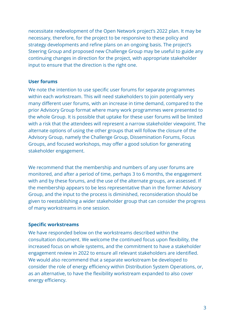necessitate redevelopment of the Open Network project's 2022 plan. It may be necessary, therefore, for the project to be responsive to these policy and strategy developments and refine plans on an ongoing basis. The project's Steering Group and proposed new Challenge Group may be useful to guide any continuing changes in direction for the project, with appropriate stakeholder input to ensure that the direction is the right one.

#### **User forums**

We note the intention to use specific user forums for separate programmes within each workstream. This will need stakeholders to join potentially very many different user forums, with an increase in time demand, compared to the prior Advisory Group format where many work programmes were presented to the whole Group. It is possible that uptake for these user forums will be limited with a risk that the attendees will represent a narrow stakeholder viewpoint. The alternate options of using the other groups that will follow the closure of the Advisory Group, namely the Challenge Group, Dissemination Forums, Focus Groups, and focused workshops, may offer a good solution for generating stakeholder engagement.

We recommend that the membership and numbers of any user forums are monitored, and after a period of time, perhaps 3 to 6 months, the engagement with and by these forums, and the use of the alternate groups, are assessed. If the membership appears to be less representative than in the former Advisory Group, and the input to the process is diminished, reconsideration should be given to reestablishing a wider stakeholder group that can consider the progress of many workstreams in one session.

## **Specific workstreams**

We have responded below on the workstreams described within the consultation document. We welcome the continued focus upon flexibility, the increased focus on whole systems, and the commitment to have a stakeholder engagement review in 2022 to ensure all relevant stakeholders are identified. We would also recommend that a separate workstream be developed to consider the role of energy efficiency within Distribution System Operations, or, as an alternative, to have the flexibility workstream expanded to also cover energy efficiency.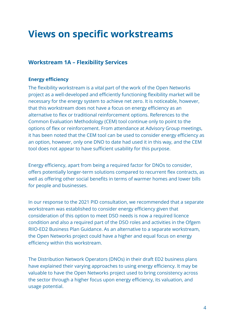# **Views on specific workstreams**

# **Workstream 1A – Flexibility Services**

## **Energy efficiency**

The flexibility workstream is a vital part of the work of the Open Networks project as a well-developed and efficiently functioning flexibility market will be necessary for the energy system to achieve net zero. It is noticeable, however, that this workstream does not have a focus on energy efficiency as an alternative to flex or traditional reinforcement options. References to the Common Evaluation Methodology (CEM) tool continue only to point to the options of flex or reinforcement. From attendance at Advisory Group meetings, it has been noted that the CEM tool can be used to consider energy efficiency as an option, however, only one DNO to date had used it in this way, and the CEM tool does not appear to have sufficient usability for this purpose.

Energy efficiency, apart from being a required factor for DNOs to consider, offers potentially longer-term solutions compared to recurrent flex contracts, as well as offering other social benefits in terms of warmer homes and lower bills for people and businesses.

In our response to the 2021 PID consultation, we recommended that a separate workstream was established to consider energy efficiency given that consideration of this option to meet DSO needs is now a required licence condition and also a required part of the DSO roles and activities in the Ofgem RIIO-ED2 Business Plan Guidance. As an alternative to a separate workstream, the Open Networks project could have a higher and equal focus on energy efficiency within this workstream.

The Distribution Network Operators (DNOs) in their draft ED2 business plans have explained their varying approaches to using energy efficiency. It may be valuable to have the Open Networks project used to bring consistency across the sector through a higher focus upon energy efficiency, its valuation, and usage potential.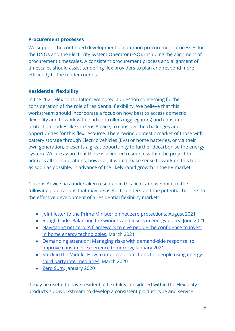#### **Procurement processes**

We support the continued development of common procurement processes for the DNOs and the Electricity System Operator (ESO), including the alignment of procurement timescales. A consistent procurement process and alignment of timescales should assist tendering flex providers to plan and respond more efficiently to the tender rounds.

## **Residential flexibility**

In the 2021 Flex consultation, we noted a question concerning further consideration of the role of residential flexibility. We believe that this workstream should incorporate a focus on how best to access domestic flexibility and to work with load controllers (aggregators) and consumer protection bodies like Citizens Advice, to consider the challenges and opportunities for this flex resource. The growing domestic market of those with battery storage through Electric Vehicles (EVs) or home batteries, or via their own generation, presents a great opportunity to further decarbonise the energy system. We are aware that there is a limited resource within the project to address all considerations, however, it would make sense to work on this topic as soon as possible, in advance of the likely rapid growth in the EV market.

Citizens Advice has undertaken research in this field, and we point to the following publications that may be useful to understand the potential barriers to the effective development of a residential flexibility market:

- [Joint letter to the Prime Minister on net zero protections](https://www.citizensadvice.org.uk/Global/CitizensAdvice/Energy/Net%20zero%20joint%20letter%20to%20the%20Prime%20Minister%20-%202021-08-25.pdf), August 2021
- [Rough trade. Balancing the winners and losers in energy policy,](https://wearecitizensadvice.org.uk/rough-trade-balancing-the-winners-and-losers-in-energy-policy-70be7481f56d) June 2021
- [Navigating net zero: A framework to give people the confidence to invest](https://www.citizensadvice.org.uk/about-us/our-work/policy/policy-research-topics/energy-policy-research-and-consultation-responses/energy-policy-research/navigating-net-zero-a-framework-to-give-people-the-confidence-to-invest-in-home-energy-technologies/) [in home energy technologies](https://www.citizensadvice.org.uk/about-us/our-work/policy/policy-research-topics/energy-policy-research-and-consultation-responses/energy-policy-research/navigating-net-zero-a-framework-to-give-people-the-confidence-to-invest-in-home-energy-technologies/), March 2021
- [Demanding attention: Managing risks with demand-side response, to](https://www.citizensadvice.org.uk/about-us/our-work/policy/policy-research-topics/energy-policy-research-and-consultation-responses/energy-policy-research/demanding-attention-managing-risks-with-demand-side-response-to-improve-consumer-experience-tomorrow/) [improve consumer experience tomorrow,](https://www.citizensadvice.org.uk/about-us/our-work/policy/policy-research-topics/energy-policy-research-and-consultation-responses/energy-policy-research/demanding-attention-managing-risks-with-demand-side-response-to-improve-consumer-experience-tomorrow/) January 2021
- [Stuck in the Middle: How to improve protections for people using energy](https://www.citizensadvice.org.uk/about-us/our-work/policy/policy-research-topics/energy-policy-research-and-consultation-responses/energy-policy-research/stuck-in-the-middle/) [third party intermediaries,](https://www.citizensadvice.org.uk/about-us/our-work/policy/policy-research-topics/energy-policy-research-and-consultation-responses/energy-policy-research/stuck-in-the-middle/) March 2020
- [Zero Sum,](https://www.citizensadvice.org.uk/about-us/our-work/policy/policy-research-topics/energy-policy-research-and-consultation-responses/energy-policy-research/zero-sum/) January 2020

It may be useful to have residential flexibility considered within the Flexibility products sub-workstream to develop a consistent product type and service.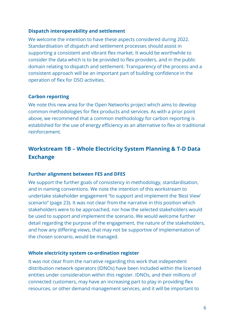#### **Dispatch interoperability and settlement**

We welcome the intention to have these aspects considered during 2022. Standardisation of dispatch and settlement processes should assist in supporting a consistent and vibrant flex market. It would be worthwhile to consider the data which is to be provided to flex providers, and in the public domain relating to dispatch and settlement. Transparency of the process and a consistent approach will be an important part of building confidence in the operation of flex for DSO activities.

#### **Carbon reporting**

We note this new area for the Open Networks project which aims to develop common methodologies for flex products and services. As with a prior point above, we recommend that a common methodology for carbon reporting is established for the use of energy efficiency as an alternative to flex or traditional reinforcement.

# **Workstream 1B – Whole Electricity System Planning & T-D Data Exchange**

#### **Further alignment between FES and DFES**

We support the further goals of consistency in methodology, standardisation, and in naming conventions. We note the intention of this workstream to undertake stakeholder engagement "to support and implement the 'Best View' scenario" (page 23). It was not clear from the narrative in this position which stakeholders were to be approached, nor how the selected stakeholders would be used to support and implement the scenario. We would welcome further detail regarding the purpose of the engagement, the nature of the stakeholders, and how any differing views, that may not be supportive of implementation of the chosen scenario, would be managed.

#### **Whole electricity system co-ordination register**

It was not clear from the narrative regarding this work that independent distribution network operators (IDNOs) have been included within the licensed entities under consideration within this register. IDNOs, and their millions of connected customers, may have an increasing part to play in providing flex resources, or other demand management services, and it will be important to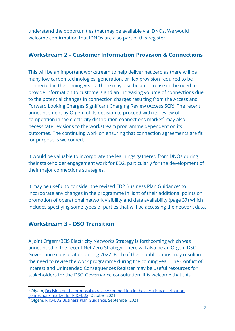understand the opportunities that may be available via IDNOs. We would welcome confirmation that IDNOs are also part of this register.

# **Workstream 2 – Customer Information Provision & Connections**

This will be an important workstream to help deliver net zero as there will be many low carbon technologies, generation, or flex provision required to be connected in the coming years. There may also be an increase in the need to provide information to customers and an increasing volume of connections due to the potential changes in connection charges resulting from the Access and Forward Looking Charges Significant Charging Review (Access SCR). The recent announcement by Ofgem of its decision to proceed with its review of competition in the electricity distribution connections market $<sup>6</sup>$  may also</sup> necessitate revisions to the workstream programme dependent on its outcomes. The continuing work on ensuring that connection agreements are fit for purpose is welcomed.

It would be valuable to incorporate the learnings gathered from DNOs during their stakeholder engagement work for ED2, particularly for the development of their major connections strategies.

It may be useful to consider the revised ED2 Business Plan Guidance<sup>7</sup> to incorporate any changes in the programme in light of their additional points on promotion of operational network visibility and data availability (page 37) which includes specifying some types of parties that will be accessing the network data.

# **Workstream 3 – DSO Transition**

A joint Ofgem/BEIS Electricity Networks Strategy is forthcoming which was announced in the recent Net Zero Strategy. There will also be an Ofgem DSO Governance consultation during 2022. Both of these publications may result in the need to revise the work programme during the coming year. The Conflict of Interest and Unintended Consequences Register may be useful resources for stakeholders for the DSO Governance consultation. It is welcome that this

<sup>&</sup>lt;sup>6</sup> Ofgem, Decision on the proposal to review [competition](https://www.ofgem.gov.uk/publications/decision-proposal-review-competition-electricity-connections-market-riio-ed2) in the electricity distribution [connections](https://www.ofgem.gov.uk/publications/decision-proposal-review-competition-electricity-connections-market-riio-ed2) market for RIIO-ED2, October 2021

<sup>7</sup> Ofgem, RIIO-ED2 Business Plan [Guidance](https://www.ofgem.gov.uk/publications/riio-ed2-business-plan-guidance), September 2021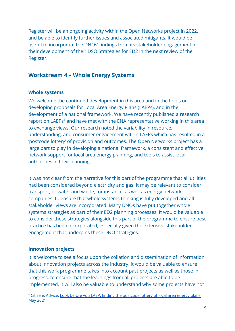Register will be an ongoing activity within the Open Networks project in 2022, and be able to identify further issues and associated mitigants. It would be useful to incorporate the DNOs' findings from its stakeholder engagement in their development of their DSO Strategies for ED2 in the next review of the Register.

# **Workstream 4 – Whole Energy Systems**

#### **Whole systems**

We welcome the continued development in this area and in the focus on developing proposals for Local Area Energy Plans (LAEPs), and in the development of a national framework. We have recently published a research report on LAEPs<sup>8</sup> and have met with the ENA representative working in this area to exchange views. Our research noted the variability in resource, understanding, and consumer engagement within LAEPs which has resulted in a 'postcode lottery' of provision and outcomes. The Open Networks project has a large part to play in developing a national framework, a consistent and effective network support for local area energy planning, and tools to assist local authorities in their planning.

It was not clear from the narrative for this part of the programme that all utilities had been considered beyond electricity and gas. It may be relevant to consider transport, or water and waste, for instance, as well as energy network companies, to ensure that whole systems thinking is fully developed and all stakeholder views are incorporated. Many DNOs have put together whole systems strategies as part of their ED2 planning processes. It would be valuable to consider these strategies alongside this part of the programme to ensure best practice has been incorporated, especially given the extensive stakeholder engagement that underpins these DNO strategies.

## **Innovation projects**

It is welcome to see a focus upon the collation and dissemination of information about innovation projects across the industry. It would be valuable to ensure that this work programme takes into account past projects as well as those in progress, to ensure that the learnings from all projects are able to be implemented. It will also be valuable to understand why some projects have not

<sup>&</sup>lt;sup>8</sup> Citizens Advice, Look before you LAEP: Ending the [postcode](https://www.citizensadvice.org.uk/about-us/our-work/policy/policy-research-topics/energy-policy-research-and-consultation-responses/energy-policy-research/look-before-you-laep-ending-the-postcode-lottery-of-local-area-energy-plans/) lottery of local area energy plans, May 2021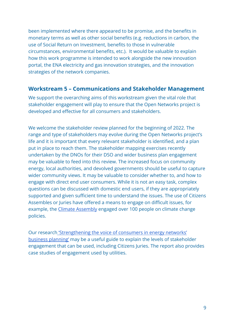been implemented where there appeared to be promise, and the benefits in monetary terms as well as other social benefits (e.g. reductions in carbon, the use of Social Return on Investment, benefits to those in vulnerable circumstances, environmental benefits, etc.). It would be valuable to explain how this work programme is intended to work alongside the new innovation portal, the ENA electricity and gas innovation strategies, and the innovation strategies of the network companies.

# **Workstream 5 – Communications and Stakeholder Management**

We support the overarching aims of this workstream given the vital role that stakeholder engagement will play to ensure that the Open Networks project is developed and effective for all consumers and stakeholders.

We welcome the stakeholder review planned for the beginning of 2022. The range and type of stakeholders may evolve during the Open Networks project's life and it is important that every relevant stakeholder is identified, and a plan put in place to reach them. The stakeholder mapping exercises recently undertaken by the DNOs for their DSO and wider business plan engagement may be valuable to feed into this review. The increased focus on community energy, local authorities, and devolved governments should be useful to capture wider community views. It may be valuable to consider whether to, and how to engage with direct end user consumers. While it is not an easy task, complex questions can be discussed with domestic end users, if they are appropriately supported and given sufficient time to understand the issues. The use of Citizens Assembles or Juries have offered a means to engage on difficult issues, for example, the [Climate Assembly](https://www.climateassembly.uk/) engaged over 100 people on climate change policies.

Our research ['Strengthening the voice of consumers](https://www.citizensadvice.org.uk/about-us/our-work/policy/policy-research-topics/energy-policy-research-and-consultation-responses/energy-policy-research/strengthening-the-voice-of-consumers-in-energy-networks-business-planning/) in energy networks' [business planning'](https://www.citizensadvice.org.uk/about-us/our-work/policy/policy-research-topics/energy-policy-research-and-consultation-responses/energy-policy-research/strengthening-the-voice-of-consumers-in-energy-networks-business-planning/) may be a useful guide to explain the levels of stakeholder engagement that can be used, including Citizens Juries. The report also provides case studies of engagement used by utilities.